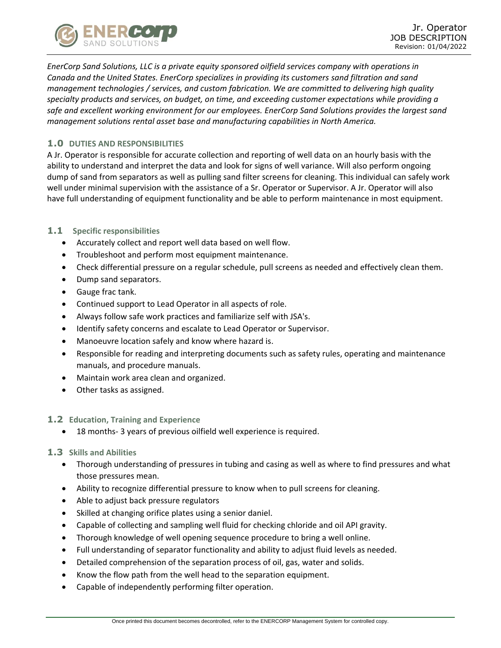

*EnerCorp Sand Solutions, LLC is a private equity sponsored oilfield services company with operations in Canada and the United States. EnerCorp specializes in providing its customers sand filtration and sand management technologies / services, and custom fabrication. We are committed to delivering high quality specialty products and services, on budget, on time, and exceeding customer expectations while providing a safe and excellent working environment for our employees. EnerCorp Sand Solutions provides the largest sand management solutions rental asset base and manufacturing capabilities in North America.*

## **1.0 DUTIES AND RESPONSIBILITIES**

A Jr. Operator is responsible for accurate collection and reporting of well data on an hourly basis with the ability to understand and interpret the data and look for signs of well variance. Will also perform ongoing dump of sand from separators as well as pulling sand filter screens for cleaning. This individual can safely work well under minimal supervision with the assistance of a Sr. Operator or Supervisor. A Jr. Operator will also have full understanding of equipment functionality and be able to perform maintenance in most equipment.

## **1.1 Specific responsibilities**

- Accurately collect and report well data based on well flow.
- Troubleshoot and perform most equipment maintenance.
- Check differential pressure on a regular schedule, pull screens as needed and effectively clean them.
- Dump sand separators.
- Gauge frac tank.
- Continued support to Lead Operator in all aspects of role.
- Always follow safe work practices and familiarize self with JSA's.
- Identify safety concerns and escalate to Lead Operator or Supervisor.
- Manoeuvre location safely and know where hazard is.
- Responsible for reading and interpreting documents such as safety rules, operating and maintenance manuals, and procedure manuals.
- Maintain work area clean and organized.
- Other tasks as assigned.

## **1.2 Education, Training and Experience**

• 18 months- 3 years of previous oilfield well experience is required.

## **1.3 Skills and Abilities**

- Thorough understanding of pressures in tubing and casing as well as where to find pressures and what those pressures mean.
- Ability to recognize differential pressure to know when to pull screens for cleaning.
- Able to adjust back pressure regulators
- Skilled at changing orifice plates using a senior daniel.
- Capable of collecting and sampling well fluid for checking chloride and oil API gravity.
- Thorough knowledge of well opening sequence procedure to bring a well online.
- Full understanding of separator functionality and ability to adjust fluid levels as needed.
- Detailed comprehension of the separation process of oil, gas, water and solids.
- Know the flow path from the well head to the separation equipment.
- Capable of independently performing filter operation.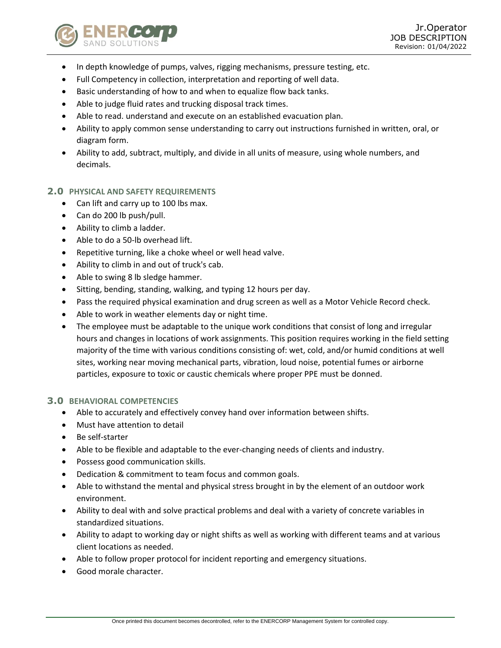

- In depth knowledge of pumps, valves, rigging mechanisms, pressure testing, etc.
- Full Competency in collection, interpretation and reporting of well data.
- Basic understanding of how to and when to equalize flow back tanks.
- Able to judge fluid rates and trucking disposal track times.
- Able to read. understand and execute on an established evacuation plan.
- Ability to apply common sense understanding to carry out instructions furnished in written, oral, or diagram form.
- Ability to add, subtract, multiply, and divide in all units of measure, using whole numbers, and decimals.

## **2.0 PHYSICAL AND SAFETY REQUIREMENTS**

- Can lift and carry up to 100 lbs max.
- Can do 200 lb push/pull.
- Ability to climb a ladder.
- Able to do a 50-lb overhead lift.
- Repetitive turning, like a choke wheel or well head valve.
- Ability to climb in and out of truck's cab.
- Able to swing 8 lb sledge hammer.
- Sitting, bending, standing, walking, and typing 12 hours per day.
- Pass the required physical examination and drug screen as well as a Motor Vehicle Record check.
- Able to work in weather elements day or night time.
- The employee must be adaptable to the unique work conditions that consist of long and irregular hours and changes in locations of work assignments. This position requires working in the field setting majority of the time with various conditions consisting of: wet, cold, and/or humid conditions at well sites, working near moving mechanical parts, vibration, loud noise, potential fumes or airborne particles, exposure to toxic or caustic chemicals where proper PPE must be donned.

## **3.0 BEHAVIORAL COMPETENCIES**

- Able to accurately and effectively convey hand over information between shifts.
- Must have attention to detail
- Be self-starter
- Able to be flexible and adaptable to the ever-changing needs of clients and industry.
- Possess good communication skills.
- Dedication & commitment to team focus and common goals.
- Able to withstand the mental and physical stress brought in by the element of an outdoor work environment.
- Ability to deal with and solve practical problems and deal with a variety of concrete variables in standardized situations.
- Ability to adapt to working day or night shifts as well as working with different teams and at various client locations as needed.
- Able to follow proper protocol for incident reporting and emergency situations.
- Good morale character.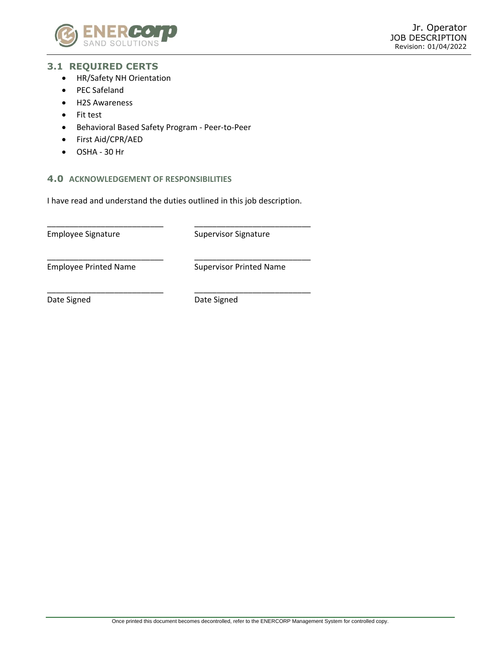

# **3.1 REQUIRED CERTS**

- HR/Safety NH Orientation
- PEC Safeland
- H2S Awareness
- Fit test
- Behavioral Based Safety Program Peer-to-Peer
- First Aid/CPR/AED
- OSHA 30 Hr

## **4.0 ACKNOWLEDGEMENT OF RESPONSIBILITIES**

I have read and understand the duties outlined in this job description.

\_\_\_\_\_\_\_\_\_\_\_\_\_\_\_\_\_\_\_\_\_\_\_\_\_\_ \_\_\_\_\_\_\_\_\_\_\_\_\_\_\_\_\_\_\_\_\_\_\_\_\_\_

\_\_\_\_\_\_\_\_\_\_\_\_\_\_\_\_\_\_\_\_\_\_\_\_\_\_ \_\_\_\_\_\_\_\_\_\_\_\_\_\_\_\_\_\_\_\_\_\_\_\_\_\_

Employee Signature Supervisor Signature

Employee Printed Name Supervisor Printed Name

Date Signed Date Signed

\_\_\_\_\_\_\_\_\_\_\_\_\_\_\_\_\_\_\_\_\_\_\_\_\_\_ \_\_\_\_\_\_\_\_\_\_\_\_\_\_\_\_\_\_\_\_\_\_\_\_\_\_